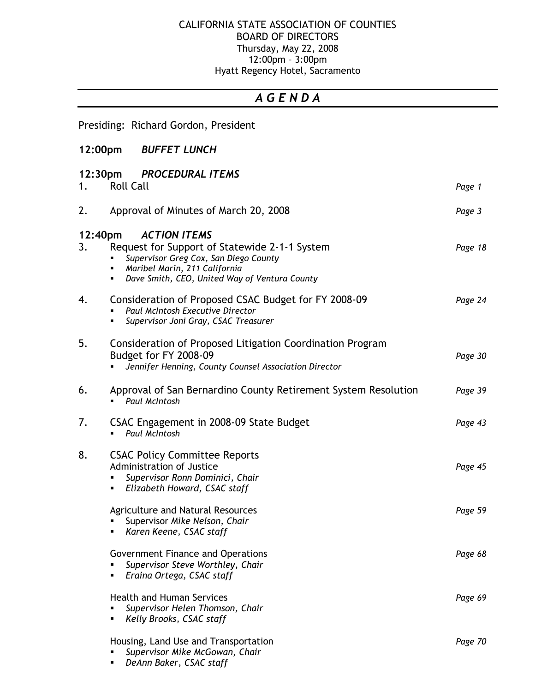## CALIFORNIA STATE ASSOCIATION OF COUNTIES BOARD OF DIRECTORS Thursday, May 22, 2008 12:00pm – 3:00pm Hyatt Regency Hotel, Sacramento

## A G E N D A

Presiding: Richard Gordon, President

**DeAnn Baker, CSAC staff** 

| 12:00pm       |                  | <b>BUFFET LUNCH</b>                                                                                                                                                                             |         |
|---------------|------------------|-------------------------------------------------------------------------------------------------------------------------------------------------------------------------------------------------|---------|
| 1.            | <b>Roll Call</b> | 12:30pm PROCEDURAL ITEMS                                                                                                                                                                        | Page 1  |
| 2.            |                  | Approval of Minutes of March 20, 2008                                                                                                                                                           | Page 3  |
| 12:40pm<br>3. | ٠<br>٠           | <b>ACTION ITEMS</b><br>Request for Support of Statewide 2-1-1 System<br>Supervisor Greg Cox, San Diego County<br>Maribel Marin, 211 California<br>Dave Smith, CEO, United Way of Ventura County | Page 18 |
| 4.            | ٠                | Consideration of Proposed CSAC Budget for FY 2008-09<br>Paul McIntosh Executive Director<br>Supervisor Joni Gray, CSAC Treasurer                                                                | Page 24 |
| 5.            |                  | Consideration of Proposed Litigation Coordination Program<br>Budget for FY 2008-09<br>Jennifer Henning, County Counsel Association Director                                                     | Page 30 |
| 6.            |                  | Approval of San Bernardino County Retirement System Resolution<br>Paul McIntosh                                                                                                                 | Page 39 |
| 7.            |                  | CSAC Engagement in 2008-09 State Budget<br>Paul McIntosh                                                                                                                                        | Page 43 |
| 8.            | ٠                | <b>CSAC Policy Committee Reports</b><br>Administration of Justice<br>Supervisor Ronn Dominici, Chair<br>Elizabeth Howard, CSAC staff                                                            | Page 45 |
|               |                  | <b>Agriculture and Natural Resources</b><br>Supervisor Mike Nelson, Chair<br>Karen Keene, CSAC staff                                                                                            | Page 59 |
|               |                  | Government Finance and Operations<br>Supervisor Steve Worthley, Chair<br>Eraina Ortega, CSAC staff                                                                                              | Page 68 |
|               | ٠                | <b>Health and Human Services</b><br>Supervisor Helen Thomson, Chair<br>Kelly Brooks, CSAC staff                                                                                                 | Page 69 |
|               |                  | Housing, Land Use and Transportation<br>Supervisor Mike McGowan, Chair                                                                                                                          | Page 70 |